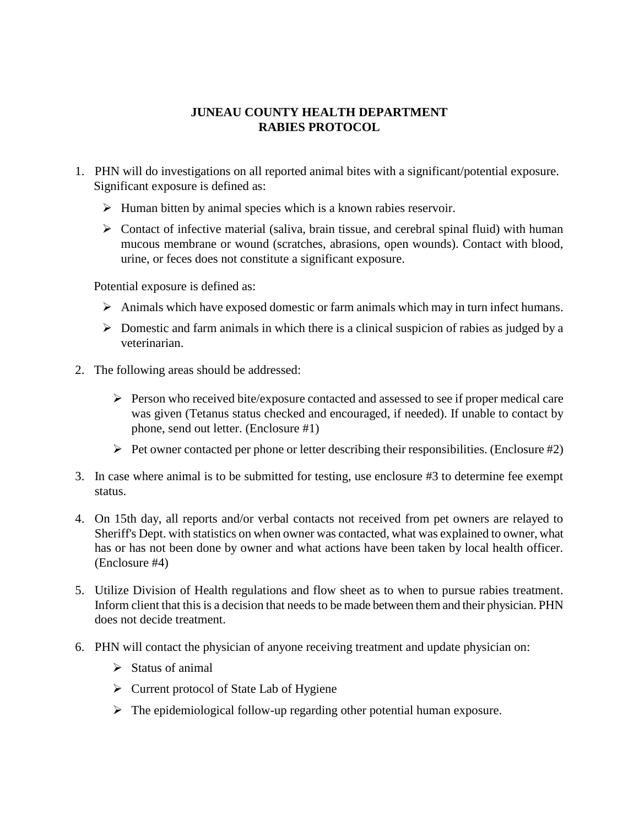## **JUNEAU COUNTY HEALTH DEPARTMENT RABIES PROTOCOL**

- 1. PHN will do investigations on all reported animal bites with a significant/potential exposure. Significant exposure is defined as:
	- $\triangleright$  Human bitten by animal species which is a known rabies reservoir.
	- $\triangleright$  Contact of infective material (saliva, brain tissue, and cerebral spinal fluid) with human mucous membrane or wound (scratches, abrasions, open wounds). Contact with blood, urine, or feces does not constitute a significant exposure.

Potential exposure is defined as:

- $\triangleright$  Animals which have exposed domestic or farm animals which may in turn infect humans.
- $\triangleright$  Domestic and farm animals in which there is a clinical suspicion of rabies as judged by a veterinarian.
- 2. The following areas should be addressed:
	- $\triangleright$  Person who received bite/exposure contacted and assessed to see if proper medical care was given (Tetanus status checked and encouraged, if needed). If unable to contact by phone, send out letter. (Enclosure #1)
	- $\triangleright$  Pet owner contacted per phone or letter describing their responsibilities. (Enclosure #2)
- 3. In case where animal is to be submitted for testing, use enclosure #3 to determine fee exempt status.
- 4. On 15th day, all reports and/or verbal contacts not received from pet owners are relayed to Sheriff's Dept. with statistics on when owner was contacted, what was explained to owner, what has or has not been done by owner and what actions have been taken by local health officer. (Enclosure #4)
- 5. Utilize Division of Health regulations and flow sheet as to when to pursue rabies treatment. Inform client that this is a decision that needs to be made between them and their physician. PHN does not decide treatment.
- 6. PHN will contact the physician of anyone receiving treatment and update physician on:
	- $\triangleright$  Status of animal
	- $\triangleright$  Current protocol of State Lab of Hygiene
	- $\triangleright$  The epidemiological follow-up regarding other potential human exposure.